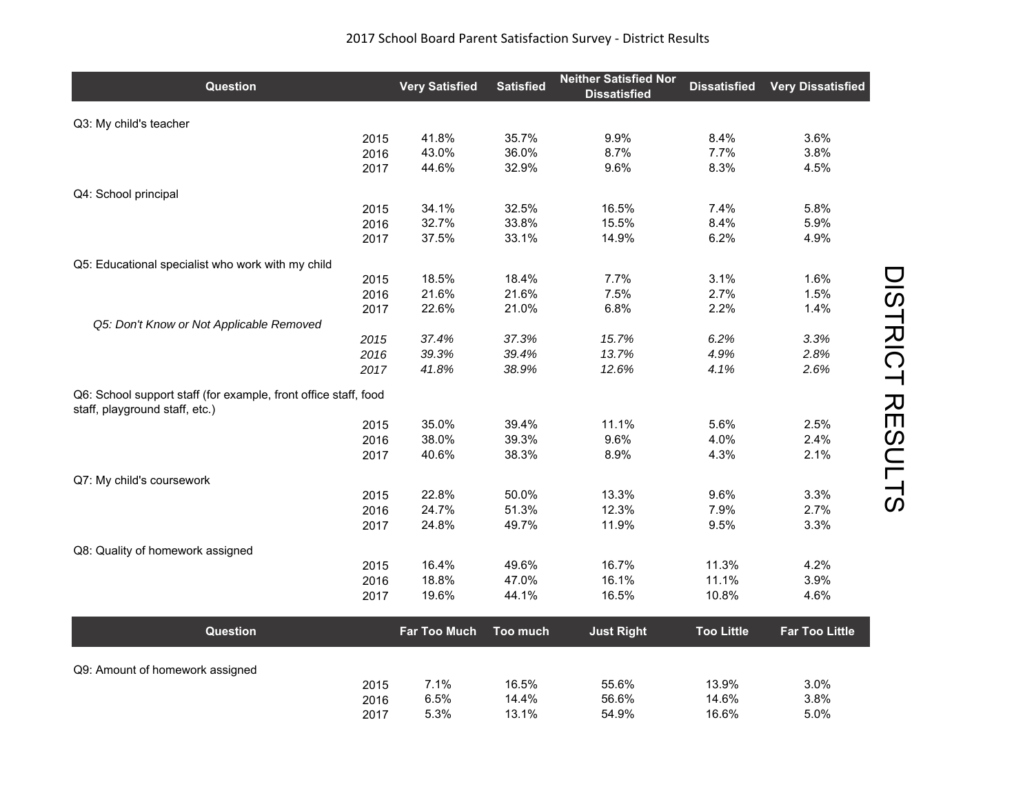| 2017 School Board Parent Satisfaction Survey - District Results |  |
|-----------------------------------------------------------------|--|
|-----------------------------------------------------------------|--|

| Q3: My child's teacher<br>35.7%<br>9.9%<br>3.6%<br>41.8%<br>8.4%<br>2015<br>7.7%<br>43.0%<br>36.0%<br>8.7%<br>3.8%<br>2016<br>2017<br>44.6%<br>32.9%<br>9.6%<br>8.3%<br>4.5%<br>Q4: School principal<br>34.1%<br>32.5%<br>16.5%<br>7.4%<br>5.8%<br>2015<br>32.7%<br>33.8%<br>15.5%<br>8.4%<br>5.9%<br>2016<br>37.5%<br>14.9%<br>6.2%<br>2017<br>33.1%<br>4.9%<br>Q5: Educational specialist who work with my child<br>18.5%<br>7.7%<br>3.1%<br>1.6%<br>2015<br>18.4%<br>21.6%<br>21.6%<br>7.5%<br>2.7%<br>1.5%<br>2016<br>22.6%<br>21.0%<br>6.8%<br>2.2%<br>1.4%<br>2017<br>Q5: Don't Know or Not Applicable Removed<br>37.3%<br>3.3%<br>37.4%<br>15.7%<br>6.2%<br>2015<br>39.3%<br>39.4%<br>13.7%<br>4.9%<br>2.8%<br>2016<br>41.8%<br>38.9%<br>12.6%<br>4.1%<br>2.6%<br>2017<br>Q6: School support staff (for example, front office staff, food<br>staff, playground staff, etc.)<br>11.1%<br>5.6%<br>35.0%<br>39.4%<br>2.5%<br>2015<br>38.0%<br>9.6%<br>4.0%<br>39.3%<br>2.4%<br>2016<br>40.6%<br>38.3%<br>8.9%<br>4.3%<br>2.1%<br>2017<br>Q7: My child's coursework<br>22.8%<br>50.0%<br>13.3%<br>3.3%<br>2015<br>9.6%<br>24.7%<br>2016<br>51.3%<br>12.3%<br>7.9%<br>2.7%<br>24.8%<br>49.7%<br>11.9%<br>9.5%<br>3.3%<br>2017<br>Q8: Quality of homework assigned<br>11.3%<br>4.2%<br>16.4%<br>49.6%<br>16.7%<br>2015<br>18.8%<br>11.1%<br>47.0%<br>16.1%<br>3.9%<br>2016<br>10.8%<br>19.6%<br>44.1%<br>16.5%<br>4.6%<br>2017<br><b>Too Little</b><br><b>Far Too Little</b><br>Question<br><b>Far Too Much</b><br>Too much<br><b>Just Right</b> | <b>Question</b> | <b>Very Satisfied</b> | <b>Satisfied</b> | <b>Neither Satisfied Nor</b><br><b>Dissatisfied</b> | <b>Dissatisfied</b> | <b>Very Dissatisfied</b> |
|---------------------------------------------------------------------------------------------------------------------------------------------------------------------------------------------------------------------------------------------------------------------------------------------------------------------------------------------------------------------------------------------------------------------------------------------------------------------------------------------------------------------------------------------------------------------------------------------------------------------------------------------------------------------------------------------------------------------------------------------------------------------------------------------------------------------------------------------------------------------------------------------------------------------------------------------------------------------------------------------------------------------------------------------------------------------------------------------------------------------------------------------------------------------------------------------------------------------------------------------------------------------------------------------------------------------------------------------------------------------------------------------------------------------------------------------------------------------------------------------------------------------------------------------------|-----------------|-----------------------|------------------|-----------------------------------------------------|---------------------|--------------------------|
|                                                                                                                                                                                                                                                                                                                                                                                                                                                                                                                                                                                                                                                                                                                                                                                                                                                                                                                                                                                                                                                                                                                                                                                                                                                                                                                                                                                                                                                                                                                                                   |                 |                       |                  |                                                     |                     |                          |
|                                                                                                                                                                                                                                                                                                                                                                                                                                                                                                                                                                                                                                                                                                                                                                                                                                                                                                                                                                                                                                                                                                                                                                                                                                                                                                                                                                                                                                                                                                                                                   |                 |                       |                  |                                                     |                     |                          |
|                                                                                                                                                                                                                                                                                                                                                                                                                                                                                                                                                                                                                                                                                                                                                                                                                                                                                                                                                                                                                                                                                                                                                                                                                                                                                                                                                                                                                                                                                                                                                   |                 |                       |                  |                                                     |                     |                          |
|                                                                                                                                                                                                                                                                                                                                                                                                                                                                                                                                                                                                                                                                                                                                                                                                                                                                                                                                                                                                                                                                                                                                                                                                                                                                                                                                                                                                                                                                                                                                                   |                 |                       |                  |                                                     |                     |                          |
|                                                                                                                                                                                                                                                                                                                                                                                                                                                                                                                                                                                                                                                                                                                                                                                                                                                                                                                                                                                                                                                                                                                                                                                                                                                                                                                                                                                                                                                                                                                                                   |                 |                       |                  |                                                     |                     |                          |
|                                                                                                                                                                                                                                                                                                                                                                                                                                                                                                                                                                                                                                                                                                                                                                                                                                                                                                                                                                                                                                                                                                                                                                                                                                                                                                                                                                                                                                                                                                                                                   |                 |                       |                  |                                                     |                     |                          |
|                                                                                                                                                                                                                                                                                                                                                                                                                                                                                                                                                                                                                                                                                                                                                                                                                                                                                                                                                                                                                                                                                                                                                                                                                                                                                                                                                                                                                                                                                                                                                   |                 |                       |                  |                                                     |                     |                          |
|                                                                                                                                                                                                                                                                                                                                                                                                                                                                                                                                                                                                                                                                                                                                                                                                                                                                                                                                                                                                                                                                                                                                                                                                                                                                                                                                                                                                                                                                                                                                                   |                 |                       |                  |                                                     |                     |                          |
|                                                                                                                                                                                                                                                                                                                                                                                                                                                                                                                                                                                                                                                                                                                                                                                                                                                                                                                                                                                                                                                                                                                                                                                                                                                                                                                                                                                                                                                                                                                                                   |                 |                       |                  |                                                     |                     |                          |
|                                                                                                                                                                                                                                                                                                                                                                                                                                                                                                                                                                                                                                                                                                                                                                                                                                                                                                                                                                                                                                                                                                                                                                                                                                                                                                                                                                                                                                                                                                                                                   |                 |                       |                  |                                                     |                     |                          |
|                                                                                                                                                                                                                                                                                                                                                                                                                                                                                                                                                                                                                                                                                                                                                                                                                                                                                                                                                                                                                                                                                                                                                                                                                                                                                                                                                                                                                                                                                                                                                   |                 |                       |                  |                                                     |                     |                          |
|                                                                                                                                                                                                                                                                                                                                                                                                                                                                                                                                                                                                                                                                                                                                                                                                                                                                                                                                                                                                                                                                                                                                                                                                                                                                                                                                                                                                                                                                                                                                                   |                 |                       |                  |                                                     |                     |                          |
|                                                                                                                                                                                                                                                                                                                                                                                                                                                                                                                                                                                                                                                                                                                                                                                                                                                                                                                                                                                                                                                                                                                                                                                                                                                                                                                                                                                                                                                                                                                                                   |                 |                       |                  |                                                     |                     |                          |
|                                                                                                                                                                                                                                                                                                                                                                                                                                                                                                                                                                                                                                                                                                                                                                                                                                                                                                                                                                                                                                                                                                                                                                                                                                                                                                                                                                                                                                                                                                                                                   |                 |                       |                  |                                                     |                     |                          |
|                                                                                                                                                                                                                                                                                                                                                                                                                                                                                                                                                                                                                                                                                                                                                                                                                                                                                                                                                                                                                                                                                                                                                                                                                                                                                                                                                                                                                                                                                                                                                   |                 |                       |                  |                                                     |                     |                          |
|                                                                                                                                                                                                                                                                                                                                                                                                                                                                                                                                                                                                                                                                                                                                                                                                                                                                                                                                                                                                                                                                                                                                                                                                                                                                                                                                                                                                                                                                                                                                                   |                 |                       |                  |                                                     |                     |                          |
|                                                                                                                                                                                                                                                                                                                                                                                                                                                                                                                                                                                                                                                                                                                                                                                                                                                                                                                                                                                                                                                                                                                                                                                                                                                                                                                                                                                                                                                                                                                                                   |                 |                       |                  |                                                     |                     |                          |
|                                                                                                                                                                                                                                                                                                                                                                                                                                                                                                                                                                                                                                                                                                                                                                                                                                                                                                                                                                                                                                                                                                                                                                                                                                                                                                                                                                                                                                                                                                                                                   |                 |                       |                  |                                                     |                     |                          |
|                                                                                                                                                                                                                                                                                                                                                                                                                                                                                                                                                                                                                                                                                                                                                                                                                                                                                                                                                                                                                                                                                                                                                                                                                                                                                                                                                                                                                                                                                                                                                   |                 |                       |                  |                                                     |                     |                          |
|                                                                                                                                                                                                                                                                                                                                                                                                                                                                                                                                                                                                                                                                                                                                                                                                                                                                                                                                                                                                                                                                                                                                                                                                                                                                                                                                                                                                                                                                                                                                                   |                 |                       |                  |                                                     |                     |                          |
|                                                                                                                                                                                                                                                                                                                                                                                                                                                                                                                                                                                                                                                                                                                                                                                                                                                                                                                                                                                                                                                                                                                                                                                                                                                                                                                                                                                                                                                                                                                                                   |                 |                       |                  |                                                     |                     |                          |
|                                                                                                                                                                                                                                                                                                                                                                                                                                                                                                                                                                                                                                                                                                                                                                                                                                                                                                                                                                                                                                                                                                                                                                                                                                                                                                                                                                                                                                                                                                                                                   |                 |                       |                  |                                                     |                     |                          |
|                                                                                                                                                                                                                                                                                                                                                                                                                                                                                                                                                                                                                                                                                                                                                                                                                                                                                                                                                                                                                                                                                                                                                                                                                                                                                                                                                                                                                                                                                                                                                   |                 |                       |                  |                                                     |                     |                          |
|                                                                                                                                                                                                                                                                                                                                                                                                                                                                                                                                                                                                                                                                                                                                                                                                                                                                                                                                                                                                                                                                                                                                                                                                                                                                                                                                                                                                                                                                                                                                                   |                 |                       |                  |                                                     |                     |                          |
|                                                                                                                                                                                                                                                                                                                                                                                                                                                                                                                                                                                                                                                                                                                                                                                                                                                                                                                                                                                                                                                                                                                                                                                                                                                                                                                                                                                                                                                                                                                                                   |                 |                       |                  |                                                     |                     |                          |
|                                                                                                                                                                                                                                                                                                                                                                                                                                                                                                                                                                                                                                                                                                                                                                                                                                                                                                                                                                                                                                                                                                                                                                                                                                                                                                                                                                                                                                                                                                                                                   |                 |                       |                  |                                                     |                     |                          |
|                                                                                                                                                                                                                                                                                                                                                                                                                                                                                                                                                                                                                                                                                                                                                                                                                                                                                                                                                                                                                                                                                                                                                                                                                                                                                                                                                                                                                                                                                                                                                   |                 |                       |                  |                                                     |                     |                          |
|                                                                                                                                                                                                                                                                                                                                                                                                                                                                                                                                                                                                                                                                                                                                                                                                                                                                                                                                                                                                                                                                                                                                                                                                                                                                                                                                                                                                                                                                                                                                                   |                 |                       |                  |                                                     |                     |                          |
|                                                                                                                                                                                                                                                                                                                                                                                                                                                                                                                                                                                                                                                                                                                                                                                                                                                                                                                                                                                                                                                                                                                                                                                                                                                                                                                                                                                                                                                                                                                                                   |                 |                       |                  |                                                     |                     |                          |
|                                                                                                                                                                                                                                                                                                                                                                                                                                                                                                                                                                                                                                                                                                                                                                                                                                                                                                                                                                                                                                                                                                                                                                                                                                                                                                                                                                                                                                                                                                                                                   |                 |                       |                  |                                                     |                     |                          |
| Q9: Amount of homework assigned                                                                                                                                                                                                                                                                                                                                                                                                                                                                                                                                                                                                                                                                                                                                                                                                                                                                                                                                                                                                                                                                                                                                                                                                                                                                                                                                                                                                                                                                                                                   |                 |                       |                  |                                                     |                     |                          |
| 7.1%<br>16.5%<br>13.9%<br>55.6%<br>3.0%<br>2015<br>6.5%<br>14.6%<br>14.4%<br>56.6%<br>3.8%                                                                                                                                                                                                                                                                                                                                                                                                                                                                                                                                                                                                                                                                                                                                                                                                                                                                                                                                                                                                                                                                                                                                                                                                                                                                                                                                                                                                                                                        |                 |                       |                  |                                                     |                     |                          |
| 2016<br>5.3%<br>54.9%<br>16.6%<br>5.0%<br>13.1%<br>2017                                                                                                                                                                                                                                                                                                                                                                                                                                                                                                                                                                                                                                                                                                                                                                                                                                                                                                                                                                                                                                                                                                                                                                                                                                                                                                                                                                                                                                                                                           |                 |                       |                  |                                                     |                     |                          |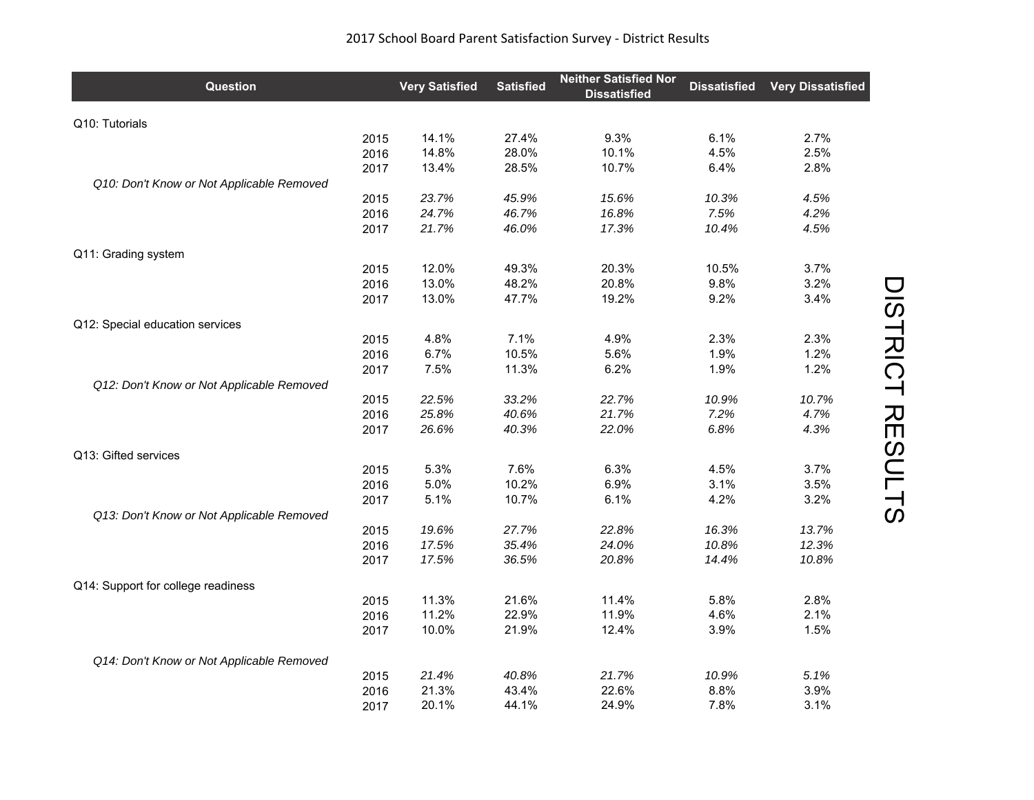| <b>Question</b>                           |      | <b>Very Satisfied</b> | <b>Satisfied</b> | <b>Neither Satisfied Nor</b><br><b>Dissatisfied</b> | <b>Dissatisfied</b> | <b>Very Dissatisfied</b> |
|-------------------------------------------|------|-----------------------|------------------|-----------------------------------------------------|---------------------|--------------------------|
| Q10: Tutorials                            |      |                       |                  |                                                     |                     |                          |
|                                           | 2015 | 14.1%                 | 27.4%            | 9.3%                                                | 6.1%                | 2.7%                     |
|                                           | 2016 | 14.8%                 | 28.0%            | 10.1%                                               | 4.5%                | 2.5%                     |
|                                           | 2017 | 13.4%                 | 28.5%            | 10.7%                                               | 6.4%                | 2.8%                     |
| Q10: Don't Know or Not Applicable Removed |      |                       |                  |                                                     |                     |                          |
|                                           | 2015 | 23.7%                 | 45.9%            | 15.6%                                               | 10.3%               | 4.5%                     |
|                                           | 2016 | 24.7%                 | 46.7%            | 16.8%                                               | 7.5%                | 4.2%                     |
|                                           | 2017 | 21.7%                 | 46.0%            | 17.3%                                               | 10.4%               | 4.5%                     |
| Q11: Grading system                       |      |                       |                  |                                                     |                     |                          |
|                                           | 2015 | 12.0%                 | 49.3%            | 20.3%                                               | 10.5%               | 3.7%                     |
|                                           | 2016 | 13.0%                 | 48.2%            | 20.8%                                               | 9.8%                | 3.2%                     |
|                                           | 2017 | 13.0%                 | 47.7%            | 19.2%                                               | 9.2%                | 3.4%                     |
| Q12: Special education services           |      |                       |                  |                                                     |                     |                          |
|                                           | 2015 | 4.8%                  | 7.1%             | 4.9%                                                | 2.3%                | 2.3%                     |
|                                           | 2016 | 6.7%                  | 10.5%            | 5.6%                                                | 1.9%                | 1.2%                     |
|                                           | 2017 | 7.5%                  | 11.3%            | 6.2%                                                | 1.9%                | 1.2%                     |
| Q12: Don't Know or Not Applicable Removed |      |                       |                  |                                                     |                     |                          |
|                                           | 2015 | 22.5%                 | 33.2%            | 22.7%                                               | 10.9%               | 10.7%                    |
|                                           | 2016 | 25.8%                 | 40.6%            | 21.7%                                               | 7.2%                | 4.7%                     |
|                                           | 2017 | 26.6%                 | 40.3%            | 22.0%                                               | 6.8%                | 4.3%                     |
| Q13: Gifted services                      |      |                       |                  |                                                     |                     |                          |
|                                           | 2015 | 5.3%                  | 7.6%             | 6.3%                                                | 4.5%                | 3.7%                     |
|                                           | 2016 | 5.0%                  | 10.2%            | 6.9%                                                | 3.1%                | 3.5%                     |
|                                           | 2017 | 5.1%                  | 10.7%            | 6.1%                                                | 4.2%                | 3.2%                     |
| Q13: Don't Know or Not Applicable Removed |      |                       |                  |                                                     |                     |                          |
|                                           | 2015 | 19.6%                 | 27.7%            | 22.8%                                               | 16.3%               | 13.7%                    |
|                                           | 2016 | 17.5%                 | 35.4%            | 24.0%                                               | 10.8%               | 12.3%                    |
|                                           | 2017 | 17.5%                 | 36.5%            | 20.8%                                               | 14.4%               | 10.8%                    |
| Q14: Support for college readiness        |      |                       |                  |                                                     |                     |                          |
|                                           | 2015 | 11.3%                 | 21.6%            | 11.4%                                               | 5.8%                | 2.8%                     |
|                                           | 2016 | 11.2%                 | 22.9%            | 11.9%                                               | 4.6%                | 2.1%                     |
|                                           | 2017 | 10.0%                 | 21.9%            | 12.4%                                               | 3.9%                | 1.5%                     |
| Q14: Don't Know or Not Applicable Removed |      |                       |                  |                                                     |                     |                          |
|                                           | 2015 | 21.4%                 | 40.8%            | 21.7%                                               | 10.9%               | 5.1%                     |
|                                           | 2016 | 21.3%                 | 43.4%            | 22.6%                                               | 8.8%                | 3.9%                     |
|                                           | 2017 | 20.1%                 | 44.1%            | 24.9%                                               | 7.8%                | 3.1%                     |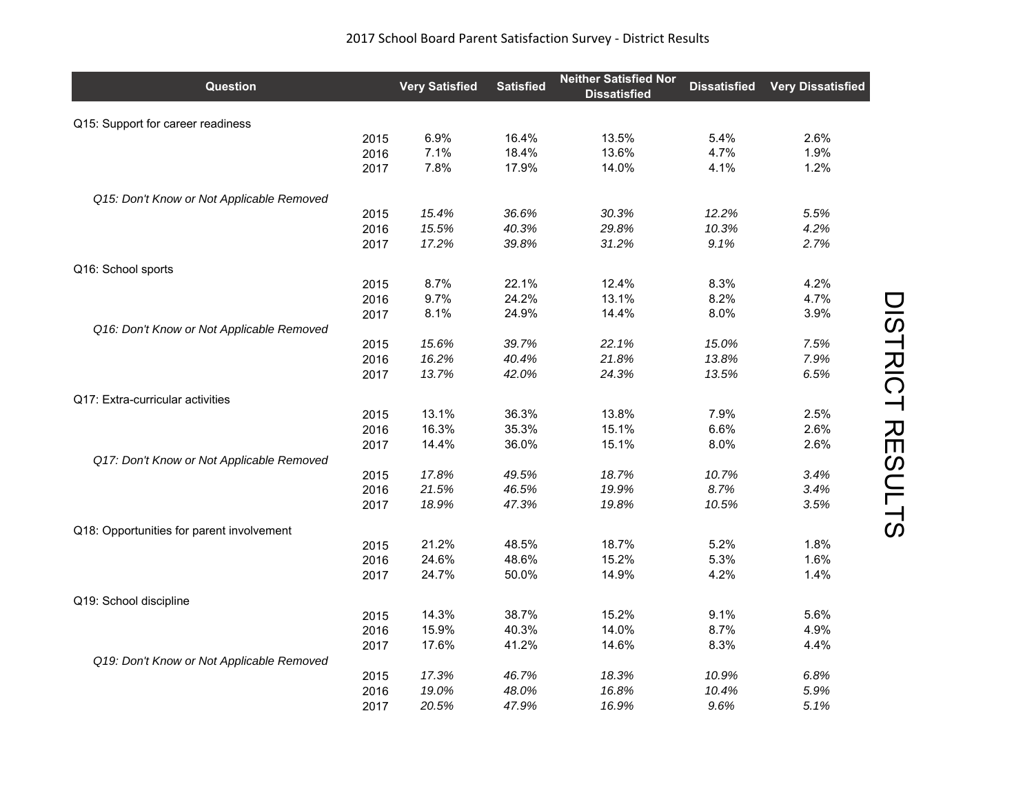| <b>Question</b>                           |      | <b>Very Satisfied</b> | <b>Satisfied</b> | <b>Neither Satisfied Nor</b><br><b>Dissatisfied</b> | <b>Dissatisfied</b> | <b>Very Dissatisfied</b> |
|-------------------------------------------|------|-----------------------|------------------|-----------------------------------------------------|---------------------|--------------------------|
| Q15: Support for career readiness         |      |                       |                  |                                                     |                     |                          |
|                                           | 2015 | 6.9%                  | 16.4%            | 13.5%                                               | 5.4%                | 2.6%                     |
|                                           | 2016 | 7.1%                  | 18.4%            | 13.6%                                               | 4.7%                | 1.9%                     |
|                                           | 2017 | 7.8%                  | 17.9%            | 14.0%                                               | 4.1%                | 1.2%                     |
| Q15: Don't Know or Not Applicable Removed |      |                       |                  |                                                     |                     |                          |
|                                           | 2015 | 15.4%                 | 36.6%            | 30.3%                                               | 12.2%               | 5.5%                     |
|                                           | 2016 | 15.5%                 | 40.3%            | 29.8%                                               | 10.3%               | 4.2%                     |
|                                           | 2017 | 17.2%                 | 39.8%            | 31.2%                                               | 9.1%                | 2.7%                     |
| Q16: School sports                        |      |                       |                  |                                                     |                     |                          |
|                                           | 2015 | 8.7%                  | 22.1%            | 12.4%                                               | 8.3%                | 4.2%                     |
|                                           | 2016 | 9.7%                  | 24.2%            | 13.1%                                               | 8.2%                | 4.7%                     |
|                                           | 2017 | 8.1%                  | 24.9%            | 14.4%                                               | 8.0%                | 3.9%                     |
| Q16: Don't Know or Not Applicable Removed |      |                       |                  |                                                     |                     |                          |
|                                           | 2015 | 15.6%                 | 39.7%            | 22.1%                                               | 15.0%               | 7.5%                     |
|                                           | 2016 | 16.2%                 | 40.4%            | 21.8%                                               | 13.8%               | 7.9%                     |
|                                           | 2017 | 13.7%                 | 42.0%            | 24.3%                                               | 13.5%               | 6.5%                     |
| Q17: Extra-curricular activities          |      |                       |                  |                                                     |                     |                          |
|                                           | 2015 | 13.1%                 | 36.3%            | 13.8%                                               | 7.9%                | 2.5%                     |
|                                           | 2016 | 16.3%                 | 35.3%            | 15.1%                                               | 6.6%                | 2.6%                     |
|                                           | 2017 | 14.4%                 | 36.0%            | 15.1%                                               | 8.0%                | 2.6%                     |
| Q17: Don't Know or Not Applicable Removed |      |                       |                  |                                                     |                     |                          |
|                                           | 2015 | 17.8%                 | 49.5%            | 18.7%                                               | 10.7%               | 3.4%                     |
|                                           | 2016 | 21.5%                 | 46.5%            | 19.9%                                               | 8.7%                | 3.4%                     |
|                                           | 2017 | 18.9%                 | 47.3%            | 19.8%                                               | 10.5%               | 3.5%                     |
| Q18: Opportunities for parent involvement |      |                       |                  |                                                     |                     |                          |
|                                           | 2015 | 21.2%                 | 48.5%            | 18.7%                                               | 5.2%                | 1.8%                     |
|                                           | 2016 | 24.6%                 | 48.6%            | 15.2%                                               | 5.3%                | 1.6%                     |
|                                           | 2017 | 24.7%                 | 50.0%            | 14.9%                                               | 4.2%                | 1.4%                     |
| Q19: School discipline                    |      |                       |                  |                                                     |                     |                          |
|                                           | 2015 | 14.3%                 | 38.7%            | 15.2%                                               | 9.1%                | 5.6%                     |
|                                           | 2016 | 15.9%                 | 40.3%            | 14.0%                                               | 8.7%                | 4.9%                     |
|                                           | 2017 | 17.6%                 | 41.2%            | 14.6%                                               | 8.3%                | 4.4%                     |
| Q19: Don't Know or Not Applicable Removed |      |                       |                  |                                                     |                     |                          |
|                                           | 2015 | 17.3%                 | 46.7%            | 18.3%                                               | 10.9%               | 6.8%                     |
|                                           | 2016 | 19.0%                 | 48.0%            | 16.8%                                               | 10.4%               | 5.9%                     |
|                                           | 2017 | 20.5%                 | 47.9%            | 16.9%                                               | 9.6%                | 5.1%                     |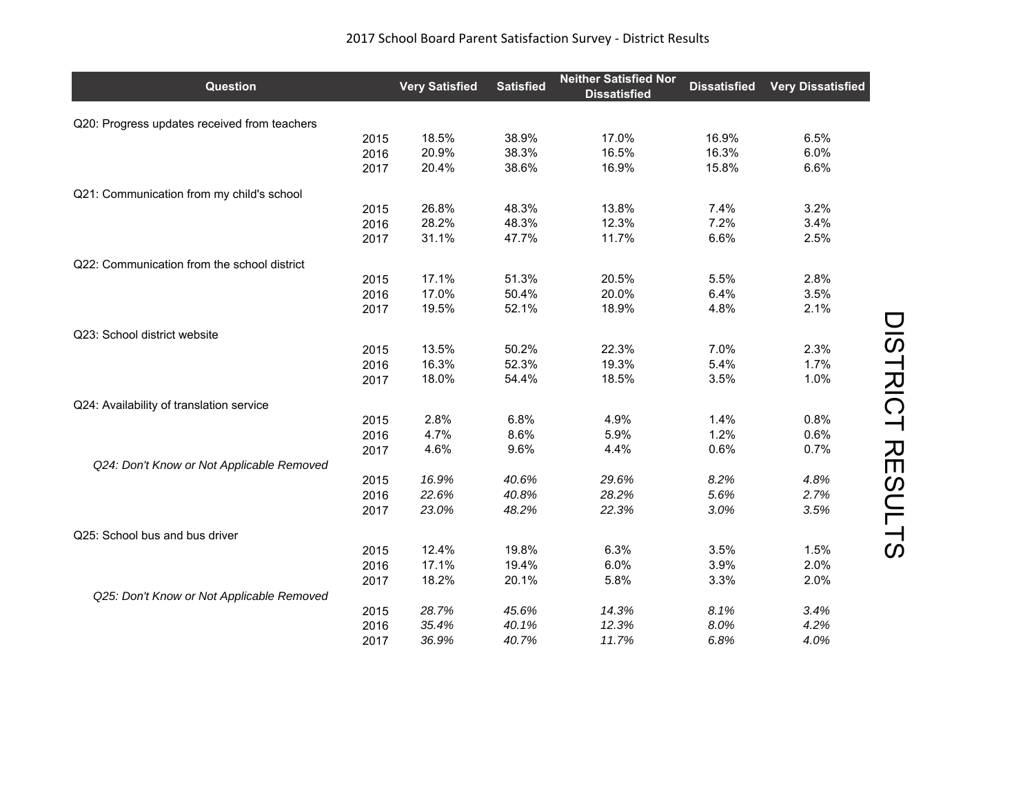| <b>Question</b>                              |      | <b>Very Satisfied</b> | <b>Satisfied</b> | <b>Neither Satisfied Nor</b><br><b>Dissatisfied</b> | <b>Dissatisfied</b> | <b>Very Dissatisfied</b> |
|----------------------------------------------|------|-----------------------|------------------|-----------------------------------------------------|---------------------|--------------------------|
| Q20: Progress updates received from teachers |      |                       |                  |                                                     |                     |                          |
|                                              | 2015 | 18.5%                 | 38.9%            | 17.0%                                               | 16.9%               | 6.5%                     |
|                                              | 2016 | 20.9%                 | 38.3%            | 16.5%                                               | 16.3%               | 6.0%                     |
|                                              | 2017 | 20.4%                 | 38.6%            | 16.9%                                               | 15.8%               | 6.6%                     |
| Q21: Communication from my child's school    |      |                       |                  |                                                     |                     |                          |
|                                              | 2015 | 26.8%                 | 48.3%            | 13.8%                                               | 7.4%                | 3.2%                     |
|                                              | 2016 | 28.2%                 | 48.3%            | 12.3%                                               | 7.2%                | 3.4%                     |
|                                              | 2017 | 31.1%                 | 47.7%            | 11.7%                                               | 6.6%                | 2.5%                     |
| Q22: Communication from the school district  |      |                       |                  |                                                     |                     |                          |
|                                              | 2015 | 17.1%                 | 51.3%            | 20.5%                                               | 5.5%                | 2.8%                     |
|                                              | 2016 | 17.0%                 | 50.4%            | 20.0%                                               | 6.4%                | 3.5%                     |
|                                              | 2017 | 19.5%                 | 52.1%            | 18.9%                                               | 4.8%                | 2.1%                     |
| Q23: School district website                 |      |                       |                  |                                                     |                     |                          |
|                                              | 2015 | 13.5%                 | 50.2%            | 22.3%                                               | 7.0%                | 2.3%                     |
|                                              | 2016 | 16.3%                 | 52.3%            | 19.3%                                               | 5.4%                | 1.7%                     |
|                                              | 2017 | 18.0%                 | 54.4%            | 18.5%                                               | 3.5%                | 1.0%                     |
| Q24: Availability of translation service     |      |                       |                  |                                                     |                     |                          |
|                                              | 2015 | 2.8%                  | 6.8%             | 4.9%                                                | 1.4%                | 0.8%                     |
|                                              | 2016 | 4.7%                  | 8.6%             | 5.9%                                                | 1.2%                | 0.6%                     |
|                                              | 2017 | 4.6%                  | 9.6%             | 4.4%                                                | 0.6%                | 0.7%                     |
| Q24: Don't Know or Not Applicable Removed    |      |                       |                  |                                                     |                     |                          |
|                                              | 2015 | 16.9%                 | 40.6%            | 29.6%                                               | 8.2%                | 4.8%                     |
|                                              | 2016 | 22.6%                 | 40.8%            | 28.2%                                               | 5.6%                | 2.7%                     |
|                                              | 2017 | 23.0%                 | 48.2%            | 22.3%                                               | 3.0%                | 3.5%                     |
| Q25: School bus and bus driver               |      |                       |                  |                                                     |                     |                          |
|                                              | 2015 | 12.4%                 | 19.8%            | 6.3%                                                | 3.5%                | 1.5%                     |
|                                              | 2016 | 17.1%                 | 19.4%            | 6.0%                                                | 3.9%                | 2.0%                     |
|                                              | 2017 | 18.2%                 | 20.1%            | 5.8%                                                | 3.3%                | 2.0%                     |
| Q25: Don't Know or Not Applicable Removed    |      |                       |                  |                                                     |                     |                          |
|                                              | 2015 | 28.7%                 | 45.6%            | 14.3%                                               | 8.1%                | 3.4%                     |
|                                              | 2016 | 35.4%                 | 40.1%            | 12.3%                                               | 8.0%                | 4.2%                     |
|                                              | 2017 | 36.9%                 | 40.7%            | 11.7%                                               | 6.8%                | 4.0%                     |

## 2017 School Board Parent Satisfaction Survey ‐ District Results